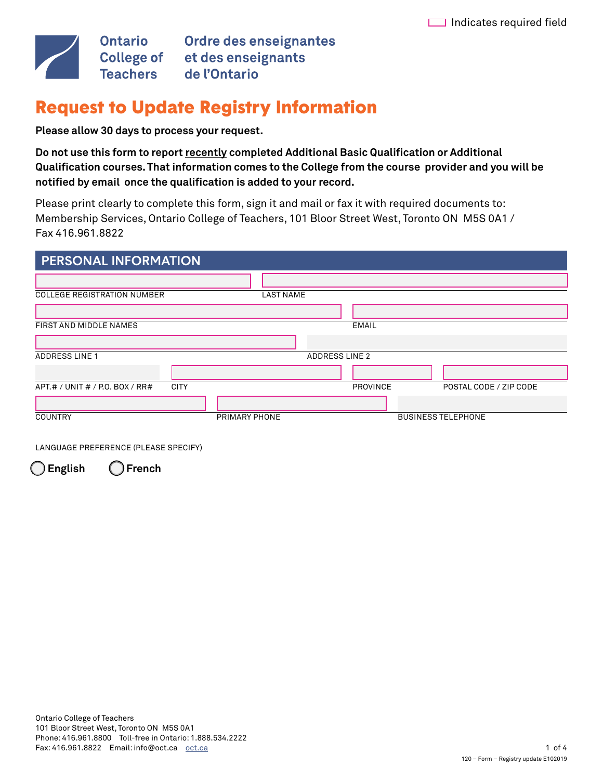

Ontario Ordre des enseignantes<br>College of et des enseignants<br>Teachers de l'Ontario

# Request to Update Registry Information

**Please allow 30 days to process your request.** 

Do not use this form to report recently completed Additional Basic Qualification or Additional **Qualifcation courses.That information comes to the College from the course provider and you will be notifed by email once the qualifcation is added to your record.** 

Please print clearly to complete this form, sign it and mail or fax it with required documents to: Membership Services, Ontario College of Teachers, 101 Bloor Street West, Toronto ON M5S 0A1 / Fax 416.961.8822

| <b>PERSONAL INFORMATION</b>        |               |                       |              |                           |                        |
|------------------------------------|---------------|-----------------------|--------------|---------------------------|------------------------|
|                                    |               |                       |              |                           |                        |
| <b>COLLEGE REGISTRATION NUMBER</b> |               | <b>LAST NAME</b>      |              |                           |                        |
|                                    |               |                       |              |                           |                        |
| FIRST AND MIDDLE NAMES             |               |                       | <b>EMAIL</b> |                           |                        |
|                                    |               |                       |              |                           |                        |
| <b>ADDRESS LINE 1</b>              |               | <b>ADDRESS LINE 2</b> |              |                           |                        |
|                                    |               |                       |              |                           |                        |
| APT.# / UNIT # / P.O. BOX / RR#    | <b>CITY</b>   |                       | PROVINCE     |                           | POSTAL CODE / ZIP CODE |
|                                    |               |                       |              |                           |                        |
| <b>COUNTRY</b>                     | PRIMARY PHONE |                       |              | <b>BUSINESS TELEPHONE</b> |                        |

LANGUAGE PREFERENCE (PLEASE SPECIFY)

 $\bigcirc$  English

**English French**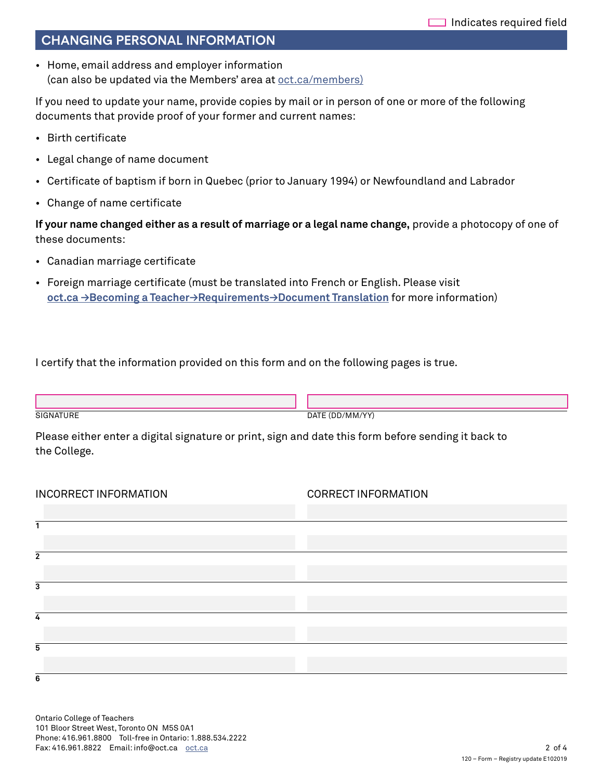### CHANGING PERSONAL INFORMATION

• Home, email address and employer information (can also be updated via the Members' area at [oct.ca/members\)](https://www.oct.ca/becoming-a-teacher/requirements/document-translation?sc_lang=en&)

If you need to update your name, provide copies by mail or in person of one or more of the following documents that provide proof of your former and current names:

- Birth certificate
- Legal change of name document
- Certifcate of baptism if born in Quebec (prior to January 1994) or Newfoundland and Labrador
- Change of name certificate

**If your name changed either as a result of marriage or a legal name change,** provide a photocopy of one of these documents:

- Canadian marriage certificate
- Foreign marriage certifcate (must be translated into French or English. Please visit **[oct.ca →Becoming a Teacher→Requirements→Document Translation](https://www.oct.ca/becoming-a-teacher/requirements/document-translation?sc_lang=en&)** for more information)

I certify that the information provided on this form and on the following pages is true.

SIGNATURE DATE (DD/MM/YY)

Please either enter a digital signature or print, sign and date this form before sending it back to the College.

| INCORRECT INFORMATION | <b>CORRECT INFORMATION</b> |
|-----------------------|----------------------------|
|                       |                            |
| 1                     |                            |
|                       |                            |
| $\overline{2}$        |                            |
|                       |                            |
| 3                     |                            |
|                       |                            |
| 4                     |                            |
|                       |                            |
| 5                     |                            |
|                       |                            |
| 6                     |                            |

Ontario College of Teachers 101 Bloor Street West, Toronto ON M5S 0A1 Phone: 416.961.8800 Toll-free in Ontario: 1.888.534.2222 Fax: 416.961.8822 Email: info@oct.ca oct.ca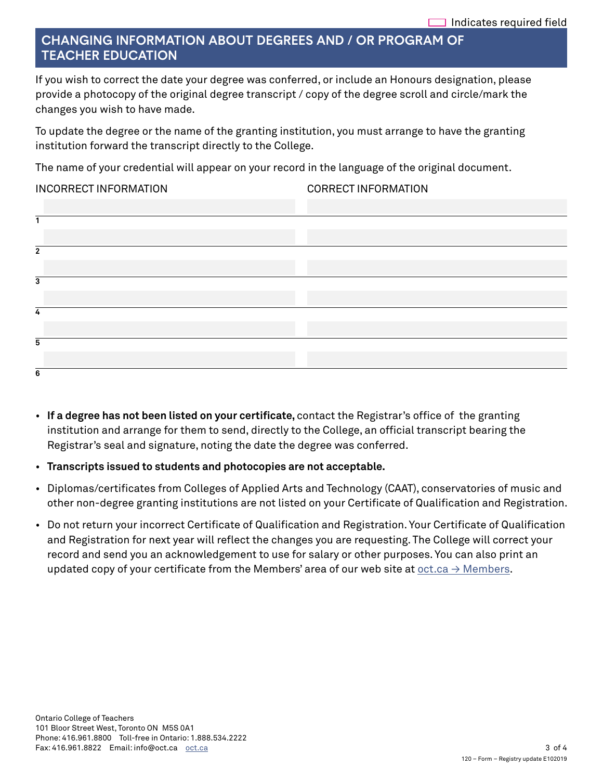## CHANGING INFORMATION ABOUT DEGREES AND / OR PROGRAM OF **TEACHER EDUCATION**

If you wish to correct the date your degree was conferred, or include an Honours designation, please provide a photocopy of the original degree transcript / copy of the degree scroll and circle/mark the changes you wish to have made.

To update the degree or the name of the granting institution, you must arrange to have the granting institution forward the transcript directly to the College.

The name of your credential will appear on your record in the language of the original document.

#### INCORRECT INFORMATION CORRECT INFORMATION

| $\overline{2}$ |  |
|----------------|--|
|                |  |
| 3              |  |
|                |  |
| 4              |  |
|                |  |
| 5              |  |
|                |  |
| ь              |  |

- If a degree has not been listed on your certificate, contact the Registrar's office of the granting institution and arrange for them to send, directly to the College, an offcial transcript bearing the Registrar's seal and signature, noting the date the degree was conferred.
- **Transcripts issued to students and photocopies are not acceptable.**
- Diplomas/certifcates from Colleges of Applied Arts and Technology (CAAT), conservatories of music and other non-degree granting institutions are not listed on your Certificate of Qualification and Registration.
- Do not return your incorrect Certificate of Qualification and Registration. Your Certificate of Qualification and Registration for next year will reflect the changes you are requesting. The College will correct your record and send you an acknowledgement to use for salary or other purposes. You can also print an updated copy of your certificate from the Members' area of our web site at  $oct.ca \rightarrow$  Members.